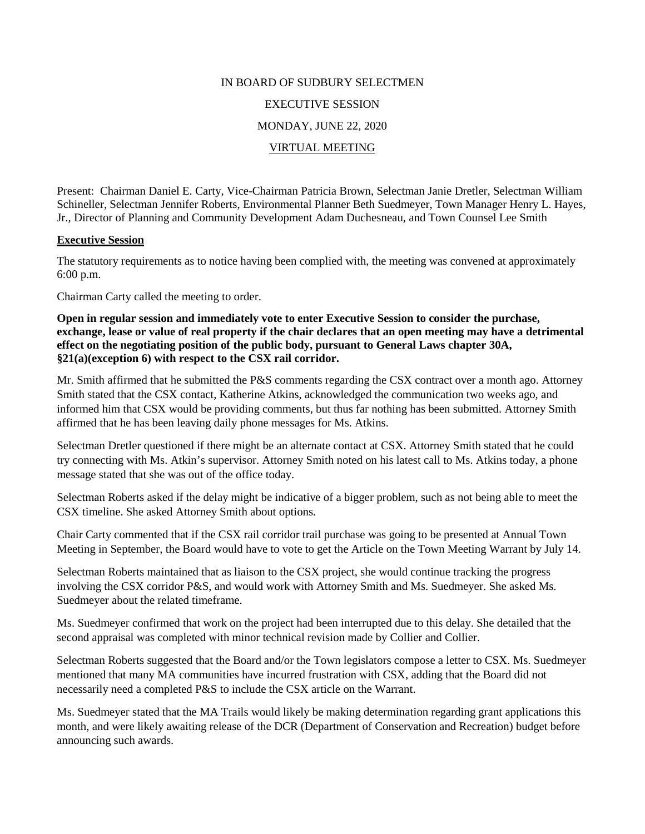# IN BOARD OF SUDBURY SELECTMEN

### EXECUTIVE SESSION

### MONDAY, JUNE 22, 2020

## VIRTUAL MEETING

Present: Chairman Daniel E. Carty, Vice-Chairman Patricia Brown, Selectman Janie Dretler, Selectman William Schineller, Selectman Jennifer Roberts, Environmental Planner Beth Suedmeyer, Town Manager Henry L. Hayes, Jr., Director of Planning and Community Development Adam Duchesneau, and Town Counsel Lee Smith

### **Executive Session**

The statutory requirements as to notice having been complied with, the meeting was convened at approximately 6:00 p.m.

Chairman Carty called the meeting to order.

**Open in regular session and immediately vote to enter Executive Session to consider the purchase, exchange, lease or value of real property if the chair declares that an open meeting may have a detrimental effect on the negotiating position of the public body, pursuant to General Laws chapter 30A, §21(a)(exception 6) with respect to the CSX rail corridor.**

Mr. Smith affirmed that he submitted the P&S comments regarding the CSX contract over a month ago. Attorney Smith stated that the CSX contact, Katherine Atkins, acknowledged the communication two weeks ago, and informed him that CSX would be providing comments, but thus far nothing has been submitted. Attorney Smith affirmed that he has been leaving daily phone messages for Ms. Atkins.

Selectman Dretler questioned if there might be an alternate contact at CSX. Attorney Smith stated that he could try connecting with Ms. Atkin's supervisor. Attorney Smith noted on his latest call to Ms. Atkins today, a phone message stated that she was out of the office today.

Selectman Roberts asked if the delay might be indicative of a bigger problem, such as not being able to meet the CSX timeline. She asked Attorney Smith about options.

Chair Carty commented that if the CSX rail corridor trail purchase was going to be presented at Annual Town Meeting in September, the Board would have to vote to get the Article on the Town Meeting Warrant by July 14.

Selectman Roberts maintained that as liaison to the CSX project, she would continue tracking the progress involving the CSX corridor P&S, and would work with Attorney Smith and Ms. Suedmeyer. She asked Ms. Suedmeyer about the related timeframe.

Ms. Suedmeyer confirmed that work on the project had been interrupted due to this delay. She detailed that the second appraisal was completed with minor technical revision made by Collier and Collier.

Selectman Roberts suggested that the Board and/or the Town legislators compose a letter to CSX. Ms. Suedmeyer mentioned that many MA communities have incurred frustration with CSX, adding that the Board did not necessarily need a completed P&S to include the CSX article on the Warrant.

Ms. Suedmeyer stated that the MA Trails would likely be making determination regarding grant applications this month, and were likely awaiting release of the DCR (Department of Conservation and Recreation) budget before announcing such awards.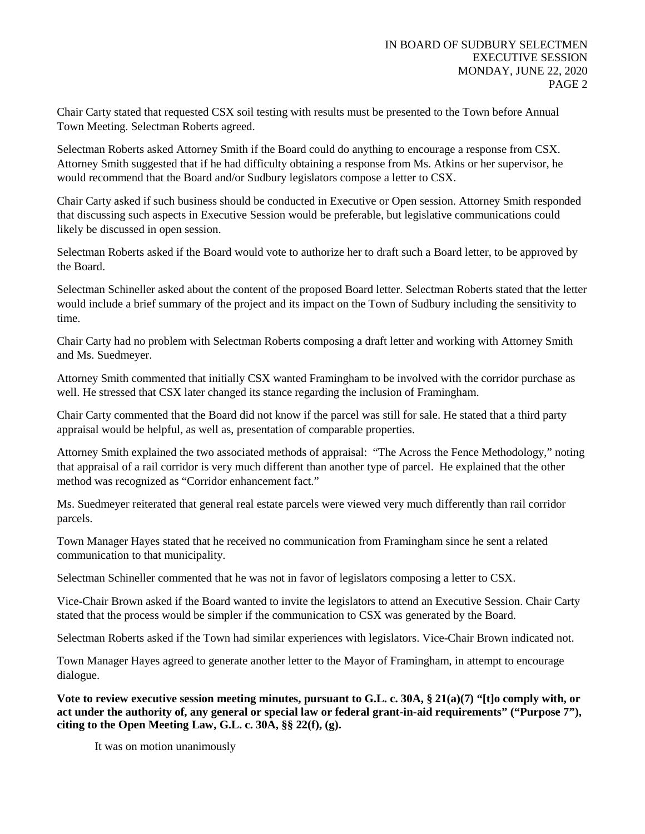Chair Carty stated that requested CSX soil testing with results must be presented to the Town before Annual Town Meeting. Selectman Roberts agreed.

Selectman Roberts asked Attorney Smith if the Board could do anything to encourage a response from CSX. Attorney Smith suggested that if he had difficulty obtaining a response from Ms. Atkins or her supervisor, he would recommend that the Board and/or Sudbury legislators compose a letter to CSX.

Chair Carty asked if such business should be conducted in Executive or Open session. Attorney Smith responded that discussing such aspects in Executive Session would be preferable, but legislative communications could likely be discussed in open session.

Selectman Roberts asked if the Board would vote to authorize her to draft such a Board letter, to be approved by the Board.

Selectman Schineller asked about the content of the proposed Board letter. Selectman Roberts stated that the letter would include a brief summary of the project and its impact on the Town of Sudbury including the sensitivity to time.

Chair Carty had no problem with Selectman Roberts composing a draft letter and working with Attorney Smith and Ms. Suedmeyer.

Attorney Smith commented that initially CSX wanted Framingham to be involved with the corridor purchase as well. He stressed that CSX later changed its stance regarding the inclusion of Framingham.

Chair Carty commented that the Board did not know if the parcel was still for sale. He stated that a third party appraisal would be helpful, as well as, presentation of comparable properties.

Attorney Smith explained the two associated methods of appraisal: "The Across the Fence Methodology," noting that appraisal of a rail corridor is very much different than another type of parcel. He explained that the other method was recognized as "Corridor enhancement fact."

Ms. Suedmeyer reiterated that general real estate parcels were viewed very much differently than rail corridor parcels.

Town Manager Hayes stated that he received no communication from Framingham since he sent a related communication to that municipality.

Selectman Schineller commented that he was not in favor of legislators composing a letter to CSX.

Vice-Chair Brown asked if the Board wanted to invite the legislators to attend an Executive Session. Chair Carty stated that the process would be simpler if the communication to CSX was generated by the Board.

Selectman Roberts asked if the Town had similar experiences with legislators. Vice-Chair Brown indicated not.

Town Manager Hayes agreed to generate another letter to the Mayor of Framingham, in attempt to encourage dialogue.

**Vote to review executive session meeting minutes, pursuant to G.L. c. 30A, § 21(a)(7) "[t]o comply with, or act under the authority of, any general or special law or federal grant-in-aid requirements" ("Purpose 7"), citing to the Open Meeting Law, G.L. c. 30A, §§ 22(f), (g).** 

It was on motion unanimously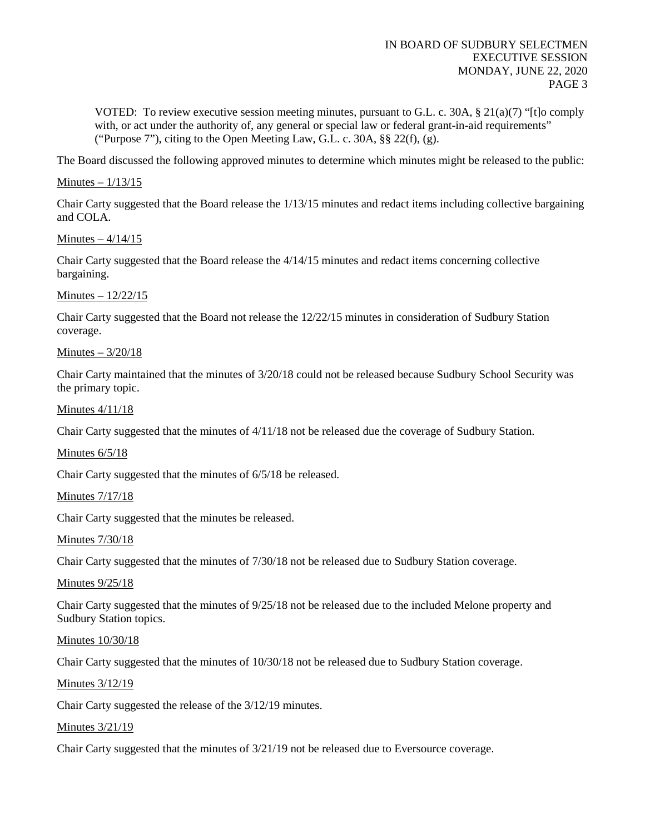VOTED: To review executive session meeting minutes, pursuant to G.L. c. 30A,  $\S 21(a)(7)$  "[t]o comply with, or act under the authority of, any general or special law or federal grant-in-aid requirements" ("Purpose 7"), citing to the Open Meeting Law, G.L. c. 30A,  $\S$  22(f), (g).

The Board discussed the following approved minutes to determine which minutes might be released to the public:

### Minutes – 1/13/15

Chair Carty suggested that the Board release the 1/13/15 minutes and redact items including collective bargaining and COLA.

Minutes – 4/14/15

Chair Carty suggested that the Board release the 4/14/15 minutes and redact items concerning collective bargaining.

Minutes – 12/22/15

Chair Carty suggested that the Board not release the 12/22/15 minutes in consideration of Sudbury Station coverage.

Minutes – 3/20/18

Chair Carty maintained that the minutes of 3/20/18 could not be released because Sudbury School Security was the primary topic.

Minutes 4/11/18

Chair Carty suggested that the minutes of 4/11/18 not be released due the coverage of Sudbury Station.

Minutes 6/5/18

Chair Carty suggested that the minutes of 6/5/18 be released.

Minutes 7/17/18

Chair Carty suggested that the minutes be released.

Minutes 7/30/18

Chair Carty suggested that the minutes of 7/30/18 not be released due to Sudbury Station coverage.

Minutes  $9/25/18$ 

Chair Carty suggested that the minutes of 9/25/18 not be released due to the included Melone property and Sudbury Station topics.

Minutes 10/30/18

Chair Carty suggested that the minutes of 10/30/18 not be released due to Sudbury Station coverage.

Minutes 3/12/19

Chair Carty suggested the release of the 3/12/19 minutes.

Minutes 3/21/19

Chair Carty suggested that the minutes of 3/21/19 not be released due to Eversource coverage.